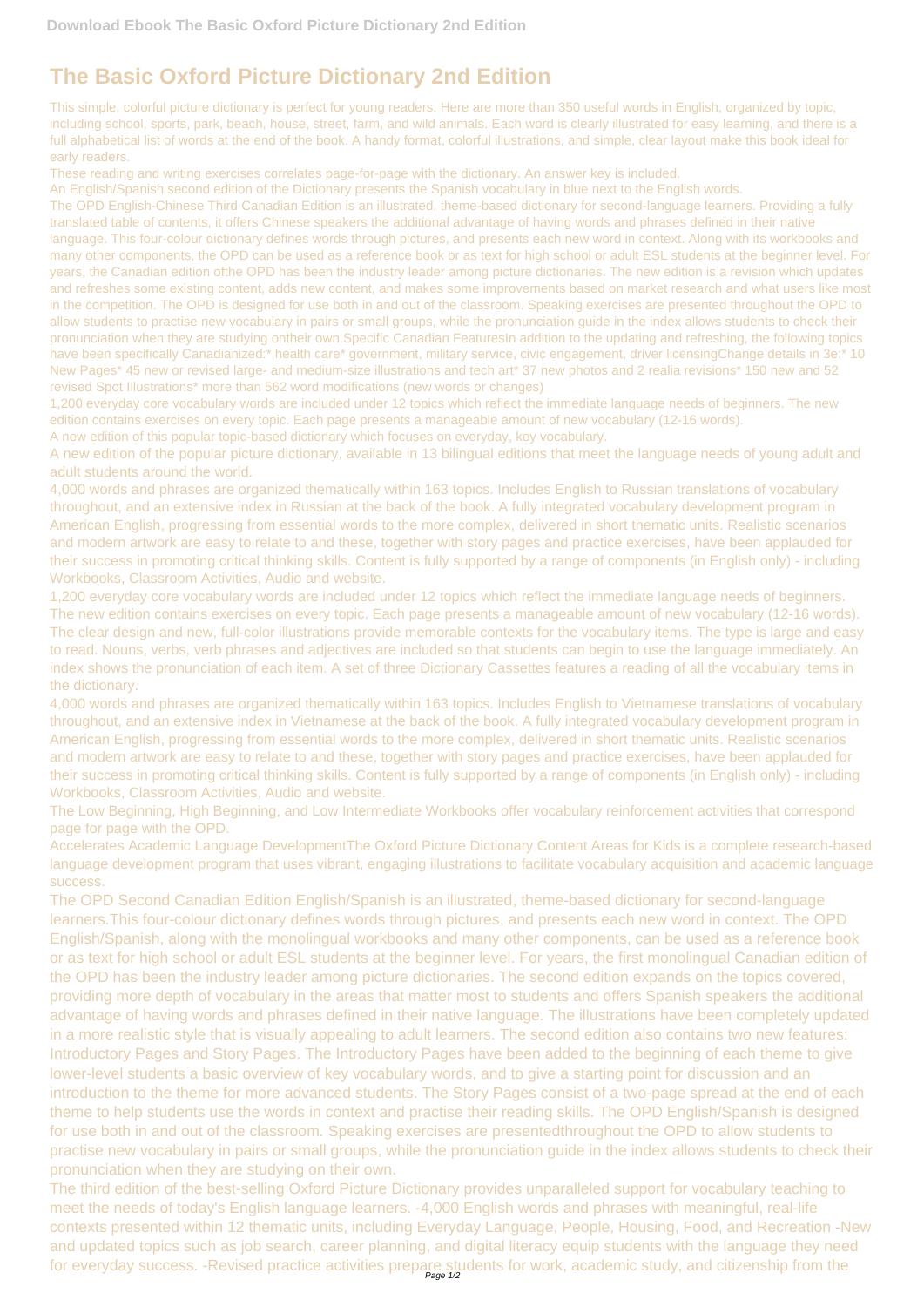## **The Basic Oxford Picture Dictionary 2nd Edition**

This simple, colorful picture dictionary is perfect for young readers. Here are more than 350 useful words in English, organized by topic, including school, sports, park, beach, house, street, farm, and wild animals. Each word is clearly illustrated for easy learning, and there is a full alphabetical list of words at the end of the book. A handy format, colorful illustrations, and simple, clear layout make this book ideal for early readers.

These reading and writing exercises correlates page-for-page with the dictionary. An answer key is included.

An English/Spanish second edition of the Dictionary presents the Spanish vocabulary in blue next to the English words.

The OPD English-Chinese Third Canadian Edition is an illustrated, theme-based dictionary for second-language learners. Providing a fully translated table of contents, it offers Chinese speakers the additional advantage of having words and phrases defined in their native language. This four-colour dictionary defines words through pictures, and presents each new word in context. Along with its workbooks and many other components, the OPD can be used as a reference book or as text for high school or adult ESL students at the beginner level. For years, the Canadian edition ofthe OPD has been the industry leader among picture dictionaries. The new edition is a revision which updates and refreshes some existing content, adds new content, and makes some improvements based on market research and what users like most in the competition. The OPD is designed for use both in and out of the classroom. Speaking exercises are presented throughout the OPD to allow students to practise new vocabulary in pairs or small groups, while the pronunciation guide in the index allows students to check their pronunciation when they are studying ontheir own. Specific Canadian FeaturesIn addition to the updating and refreshing, the following topics have been specifically Canadianized:\* health care\* government, military service, civic engagement, driver licensingChange details in 3e:\* 10 New Pages\* 45 new or revised large- and medium-size illustrations and tech art\* 37 new photos and 2 realia revisions\* 150 new and 52 revised Spot Illustrations\* more than 562 word modifications (new words or changes)

1,200 everyday core vocabulary words are included under 12 topics which reflect the immediate language needs of beginners. The new edition contains exercises on every topic. Each page presents a manageable amount of new vocabulary (12-16 words).

The OPD Second Canadian Edition English/Spanish is an illustrated, theme-based dictionary for second-language learners.This four-colour dictionary defines words through pictures, and presents each new word in context. The OPD English/Spanish, along with the monolingual workbooks and many other components, can be used as a reference book or as text for high school or adult ESL students at the beginner level. For years, the first monolingual Canadian edition of the OPD has been the industry leader among picture dictionaries. The second edition expands on the topics covered, providing more depth of vocabulary in the areas that matter most to students and offers Spanish speakers the additional advantage of having words and phrases defined in their native language. The illustrations have been completely updated in a more realistic style that is visually appealing to adult learners. The second edition also contains two new features: Introductory Pages and Story Pages. The Introductory Pages have been added to the beginning of each theme to give lower-level students a basic overview of key vocabulary words, and to give a starting point for discussion and an introduction to the theme for more advanced students. The Story Pages consist of a two-page spread at the end of each theme to help students use the words in context and practise their reading skills. The OPD English/Spanish is designed for use both in and out of the classroom. Speaking exercises are presentedthroughout the OPD to allow students to practise new vocabulary in pairs or small groups, while the pronunciation guide in the index allows students to check their pronunciation when they are studying on their own. The third edition of the best-selling Oxford Picture Dictionary provides unparalleled support for vocabulary teaching to meet the needs of today's English language learners. -4,000 English words and phrases with meaningful, real-life contexts presented within 12 thematic units, including Everyday Language, People, Housing, Food, and Recreation -New and updated topics such as job search, career planning, and digital literacy equip students with the language they need for everyday success. -Revised practice activities prepare students for work, academic study, and citizenship from the<br>Page 1/2

A new edition of this popular topic-based dictionary which focuses on everyday, key vocabulary.

A new edition of the popular picture dictionary, available in 13 bilingual editions that meet the language needs of young adult and adult students around the world.

4,000 words and phrases are organized thematically within 163 topics. Includes English to Russian translations of vocabulary throughout, and an extensive index in Russian at the back of the book. A fully integrated vocabulary development program in American English, progressing from essential words to the more complex, delivered in short thematic units. Realistic scenarios and modern artwork are easy to relate to and these, together with story pages and practice exercises, have been applauded for their success in promoting critical thinking skills. Content is fully supported by a range of components (in English only) - including Workbooks, Classroom Activities, Audio and website.

1,200 everyday core vocabulary words are included under 12 topics which reflect the immediate language needs of beginners. The new edition contains exercises on every topic. Each page presents a manageable amount of new vocabulary (12-16 words). The clear design and new, full-color illustrations provide memorable contexts for the vocabulary items. The type is large and easy to read. Nouns, verbs, verb phrases and adjectives are included so that students can begin to use the language immediately. An index shows the pronunciation of each item. A set of three Dictionary Cassettes features a reading of all the vocabulary items in the dictionary.

4,000 words and phrases are organized thematically within 163 topics. Includes English to Vietnamese translations of vocabulary throughout, and an extensive index in Vietnamese at the back of the book. A fully integrated vocabulary development program in American English, progressing from essential words to the more complex, delivered in short thematic units. Realistic scenarios and modern artwork are easy to relate to and these, together with story pages and practice exercises, have been applauded for their success in promoting critical thinking skills. Content is fully supported by a range of components (in English only) - including Workbooks, Classroom Activities, Audio and website.

The Low Beginning, High Beginning, and Low Intermediate Workbooks offer vocabulary reinforcement activities that correspond page for page with the OPD.

Accelerates Academic Language DevelopmentThe Oxford Picture Dictionary Content Areas for Kids is a complete research-based language development program that uses vibrant, engaging illustrations to facilitate vocabulary acquisition and academic language success.